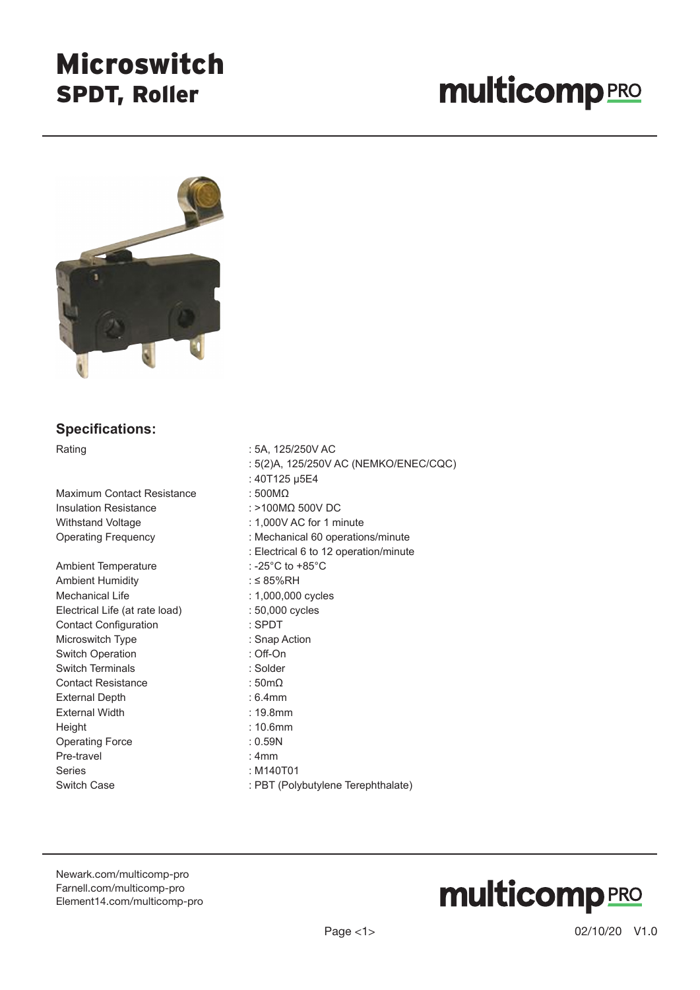### Microswitch SPDT, Roller

# **multicomp**PRO



#### **Specifications:**

Maximum Contact Resistance : 500MΩ Insulation Resistance : >100MΩ 500V DC Withstand Voltage  $\cdot$  1,000V AC for 1 minute

Ambient Temperature : -25°C to +85°C Ambient Humidity in the same set of the set of the set of the set of the set of the set of the set of the set o Mechanical Life  $\qquad \qquad$  : 1,000,000 cycles Electrical Life (at rate load) : 50,000 cycles Contact Configuration : SPDT Microswitch Type **: Snap Action** Switch Operation **: Off-On** Switch Terminals **Example 2018** : Solder Contact Resistance : 50mΩ External Depth : 6.4mm External Width **External Width 19.8mm** Height : 10.6mm Operating Force : 0.59N Pre-travel **Example 2018** : 4mm Series : M140T01 Switch Case **Suitch Case** : PBT (Polybutylene Terephthalate)

Rating : 5A, 125/250V AC : 5(2)A, 125/250V AC (NEMKO/ENEC/CQC) : 40T125 μ5E4 Operating Frequency **Example:** Mechanical 60 operations/minute : Electrical 6 to 12 operation/minute

[Newark.com/multicomp-](https://www.newark.com/multicomp-pro)pro [Farnell.com/multicomp](https://www.farnell.com/multicomp-pro)-pro [Element14.com/multicomp-pro](https://element14.com/multicomp-pro)

# **multicomp**PRO